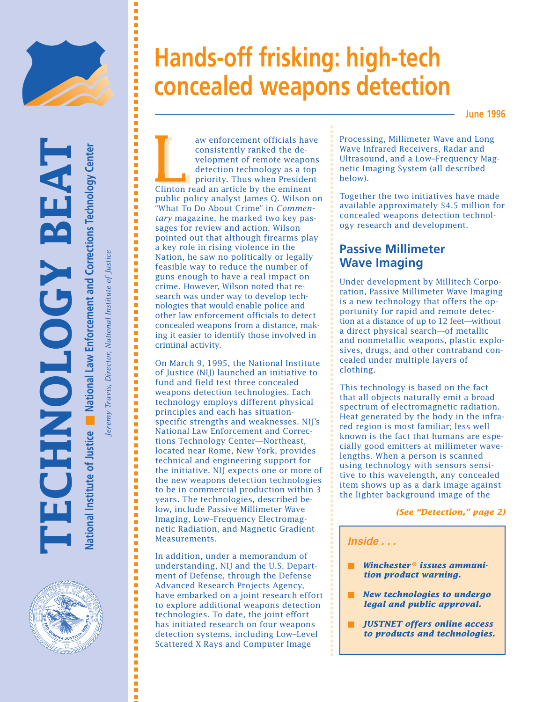

EAT

**National Institute of Justice** National Institute of Justice **B** National Law Enforcement and Corrections Technology Center **National Law Enforcement and Corrections Technology Center**

**TECHNOLOGY BEAT**

**SHNOLOGY** 

*Jeremy Travis, Director, National Institute of Justice* Director, National Institute of Justi eremy Travis, ■ ■ ■ ■ ■ ■ ■ ■ ■ ■ ■ ■ ■ ■ ■ ■ ■ ■ ■ ■ ■ ■ ■ ■ ■ ■ ■ ■ ■ ■ ■ ■ ■ ■ ■ ■ ■ ■ ■ ■ ■ ■ ■ ■ ■ ■ ■ ■ ■ ■ ■ ■ ■ ■ ■ ■ ■ ■ ■ ■ ■ ■ ■ ■ ■ ■ ■ ■ ■ ■ ■ ■ ■ ■ ■ ■ ■ ■ ■ ■ ■ ■ ■ ■ ■ ■ ■ ■ ■ ■ ■ ■ ■ ■ ■ ■ ■ ■ ■ ■ ■ ■

,,,,,,,,,,

İ İ İ

# **Hands-off frisking: high-tech concealed weapons detection**

**June 1996**

aw enforcement officials have<br>
consistently ranked the de-<br>
velopment of remote weapons<br>
detection technology as a top<br>
priority. Thus when President<br>
Clinton read an article by the eminent consistently ranked the development of remote weapons detection technology as a top priority. Thus when President public policy analyst James Q. Wilson on "What To Do About Crime" in *Commentary* magazine, he marked two key passages for review and action. Wilson pointed out that although firearms play a key role in rising violence in the Nation, he saw no politically or legally feasible way to reduce the number of guns enough to have a real impact on crime. However, Wilson noted that research was under way to develop technologies that would enable police and other law enforcement officials to detect concealed weapons from a distance, making it easier to identify those involved in criminal activity.

On March 9, 1995, the National Institute of Justice (NIJ) launched an initiative to fund and field test three concealed weapons detection technologies. Each technology employs different physical principles and each has situationspecific strengths and weaknesses. NIJ's National Law Enforcement and Corrections Technology Center—Northeast, located near Rome, New York, provides technical and engineering support for the initiative. NIJ expects one or more of the new weapons detection technologies to be in commercial production within 3 years. The technologies, described below, include Passive Millimeter Wave Imaging, Low–Frequency Electromagnetic Radiation, and Magnetic Gradient Measurements.

In addition, under a memorandum of understanding, NIJ and the U.S. Department of Defense, through the Defense Advanced Research Projects Agency, have embarked on a joint research effort to explore additional weapons detection technologies. To date, the joint effort has initiated research on four weapons detection systems, including Low–Level Scattered X Rays and Computer Image

Processing, Millimeter Wave and Long Wave Infrared Receivers, Radar and Ultrasound, and a Low–Frequency Magnetic Imaging System (all described below).

Together the two initiatives have made available approximately \$4.5 million for concealed weapons detection technology research and development.

## **Passive Millimeter Wave Imaging**

Under development by Millitech Corporation, Passive Millimeter Wave Imaging is a new technology that offers the opportunity for rapid and remote detection at a distance of up to 12 feet—without a direct physical search—of metallic and nonmetallic weapons, plastic explosives, drugs, and other contraband concealed under multiple layers of clothing.

This technology is based on the fact that all objects naturally emit a broad spectrum of electromagnetic radiation. Heat generated by the body in the infrared region is most familiar; less well known is the fact that humans are especially good emitters at millimeter wavelengths. When a person is scanned using technology with sensors sensitive to this wavelength, any concealed item shows up as a dark image against the lighter background image of the

*(See "Detection," page 2)*

### **Inside . . .**

- **Winchester<sup>®</sup> issues ammuni***tion product warning.*
- *New technologies to undergo legal and public approval.*
- *JUSTNET offers online access to products and technologies.*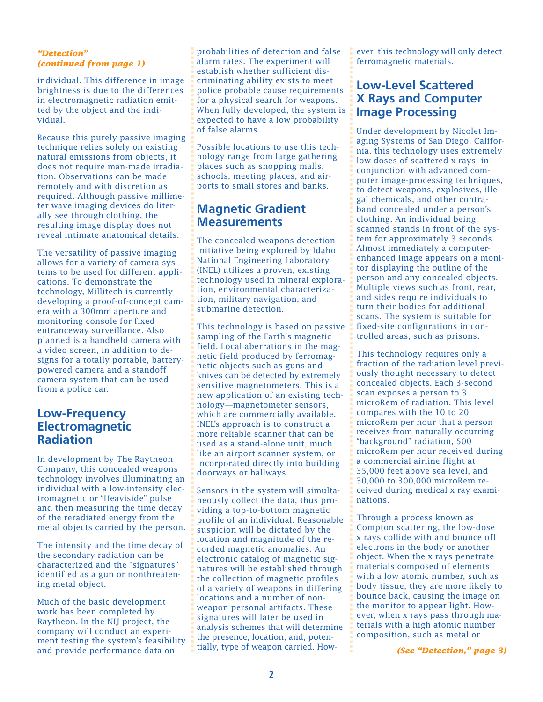### *"Detection" (continued from page 1)*

individual. This difference in image brightness is due to the differences in electromagnetic radiation emitted by the object and the individual.

Because this purely passive imaging technique relies solely on existing natural emissions from objects, it does not require man-made irradiation. Observations can be made remotely and with discretion as required. Although passive millimeter wave imaging devices do literally see through clothing, the resulting image display does not reveal intimate anatomical details.

The versatility of passive imaging allows for a variety of camera systems to be used for different applications. To demonstrate the technology, Millitech is currently developing a proof-of-concept camera with a 300mm aperture and monitoring console for fixed entranceway surveillance. Also planned is a handheld camera with a video screen, in addition to designs for a totally portable, batterypowered camera and a standoff camera system that can be used from a police car.

### **Low-Frequency Electromagnetic Radiation**

In development by The Raytheon Company, this concealed weapons technology involves illuminating an individual with a low-intensity electromagnetic or "Heaviside" pulse and then measuring the time decay of the reradiated energy from the metal objects carried by the person.

The intensity and the time decay of the secondary radiation can be characterized and the "signatures" identified as a gun or nonthreatening metal object.

Much of the basic development work has been completed by Raytheon. In the NIJ project, the company will conduct an experiment testing the system's feasibility and provide performance data on

probabilities of detection and false alarm rates. The experiment will establish whether sufficient discriminating ability exists to meet police probable cause requirements for a physical search for weapons. When fully developed, the system is expected to have a low probability of false alarms.

Possible locations to use this technology range from large gathering places such as shopping malls, schools, meeting places, and airports to small stores and banks.

### **Magnetic Gradient Measurements**

The concealed weapons detection initiative being explored by Idaho National Engineering Laboratory (INEL) utilizes a proven, existing technology used in mineral exploration, environmental characterization, military navigation, and submarine detection.

This technology is based on passive sampling of the Earth's magnetic field. Local aberrations in the magnetic field produced by ferromagnetic objects such as guns and knives can be detected by extremely sensitive magnetometers. This is a new application of an existing technology—magnetometer sensors, which are commercially available. INEL's approach is to construct a more reliable scanner that can be used as a stand-alone unit, much like an airport scanner system, or incorporated directly into building doorways or hallways.

Sensors in the system will simultaneously collect the data, thus providing a top-to-bottom magnetic profile of an individual. Reasonable suspicion will be dictated by the location and magnitude of the recorded magnetic anomalies. An electronic catalog of magnetic signatures will be established through the collection of magnetic profiles of a variety of weapons in differing locations and a number of nonweapon personal artifacts. These signatures will later be used in analysis schemes that will determine the presence, location, and, potentially, type of weapon carried. However, this technology will only detect ferromagnetic materials.

## **Low-Level Scattered X Rays and Computer Image Processing**

Under development by Nicolet Imaging Systems of San Diego, California, this technology uses extremely low doses of scattered x rays, in conjunction with advanced computer image-processing techniques, to detect weapons, explosives, illegal chemicals, and other contraband concealed under a person's clothing. An individual being scanned stands in front of the system for approximately 3 seconds. Almost immediately a computerenhanced image appears on a monitor displaying the outline of the person and any concealed objects. Multiple views such as front, rear, and sides require individuals to turn their bodies for additional scans. The system is suitable for fixed-site configurations in controlled areas, such as prisons.

This technology requires only a fraction of the radiation level previously thought necessary to detect concealed objects. Each 3-second scan exposes a person to 3 microRem of radiation. This level compares with the 10 to 20 microRem per hour that a person receives from naturally occurring "background" radiation, 500 microRem per hour received during a commercial airline flight at 35,000 feet above sea level, and 30,000 to 300,000 microRem received during medical x ray examinations.

Through a process known as Compton scattering, the low-dose x rays collide with and bounce off electrons in the body or another object. When the x rays penetrate materials composed of elements with a low atomic number, such as body tissue, they are more likely to bounce back, causing the image on the monitor to appear light. However, when x rays pass through materials with a high atomic number composition, such as metal or

*(See "Detection," page 3)*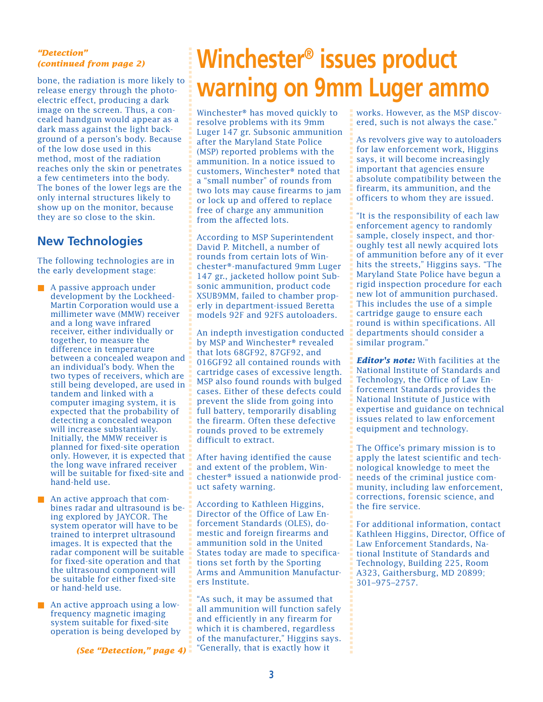### *"Detection" (continued from page 2)*

bone, the radiation is more likely to release energy through the photoelectric effect, producing a dark image on the screen. Thus, a concealed handgun would appear as a dark mass against the light background of a person's body. Because of the low dose used in this method, most of the radiation reaches only the skin or penetrates a few centimeters into the body. The bones of the lower legs are the only internal structures likely to show up on the monitor, because they are so close to the skin.

## **New Technologies**

The following technologies are in the early development stage:

- A passive approach under development by the Lockheed-Martin Corporation would use a millimeter wave (MMW) receiver and a long wave infrared receiver, either individually or together, to measure the difference in temperature between a concealed weapon and an individual's body. When the two types of receivers, which are still being developed, are used in tandem and linked with a computer imaging system, it is expected that the probability of detecting a concealed weapon will increase substantially. Initially, the MMW receiver is planned for fixed-site operation only. However, it is expected that the long wave infrared receiver will be suitable for fixed-site and hand-held use.
- An active approach that combines radar and ultrasound is being explored by JAYCOR. The system operator will have to be trained to interpret ultrasound images. It is expected that the radar component will be suitable for fixed-site operation and that the ultrasound component will be suitable for either fixed-site or hand-held use.
- An active approach using a lowfrequency magnetic imaging system suitable for fixed-site operation is being developed by

*(See "Detection," page 4)*

## **Winchester® issues product warning on 9mm Luger ammo**

Winchester® has moved quickly to resolve problems with its 9mm Luger 147 gr. Subsonic ammunition after the Maryland State Police (MSP) reported problems with the ammunition. In a notice issued to customers, Winchester® noted that a "small number" of rounds from two lots may cause firearms to jam or lock up and offered to replace free of charge any ammunition from the affected lots.

According to MSP Superintendent David P. Mitchell, a number of rounds from certain lots of Winchester®-manufactured 9mm Luger 147 gr., jacketed hollow point Subsonic ammunition, product code XSUB9MM, failed to chamber properly in department-issued Beretta models 92F and 92FS autoloaders.

An indepth investigation conducted by MSP and Winchester® revealed that lots 68GF92, 87GF92, and 016GF92 all contained rounds with cartridge cases of excessive length. MSP also found rounds with bulged cases. Either of these defects could prevent the slide from going into full battery, temporarily disabling the firearm. Often these defective rounds proved to be extremely difficult to extract.

After having identified the cause and extent of the problem, Winchester® issued a nationwide product safety warning.

According to Kathleen Higgins, Director of the Office of Law Enforcement Standards (OLES), domestic and foreign firearms and ammunition sold in the United States today are made to specifications set forth by the Sporting Arms and Ammunition Manufacturers Institute.

"As such, it may be assumed that all ammunition will function safely and efficiently in any firearm for which it is chambered, regardless of the manufacturer," Higgins says. "Generally, that is exactly how it

works. However, as the MSP discovered, such is not always the case."

As revolvers give way to autoloaders for law enforcement work, Higgins says, it will become increasingly important that agencies ensure absolute compatibility between the firearm, its ammunition, and the officers to whom they are issued.

"It is the responsibility of each law enforcement agency to randomly sample, closely inspect, and thoroughly test all newly acquired lots of ammunition before any of it ever hits the streets," Higgins says. "The Maryland State Police have begun a rigid inspection procedure for each new lot of ammunition purchased. This includes the use of a simple cartridge gauge to ensure each round is within specifications. All departments should consider a similar program."

*Editor's note:* With facilities at the National Institute of Standards and Technology, the Office of Law Enforcement Standards provides the National Institute of Justice with expertise and guidance on technical issues related to law enforcement equipment and technology.

The Office's primary mission is to apply the latest scientific and technological knowledge to meet the needs of the criminal justice community, including law enforcement, corrections, forensic science, and the fire service.

For additional information, contact Kathleen Higgins, Director, Office of Law Enforcement Standards, National Institute of Standards and Technology, Building 225, Room A323, Gaithersburg, MD 20899; 301–975–2757.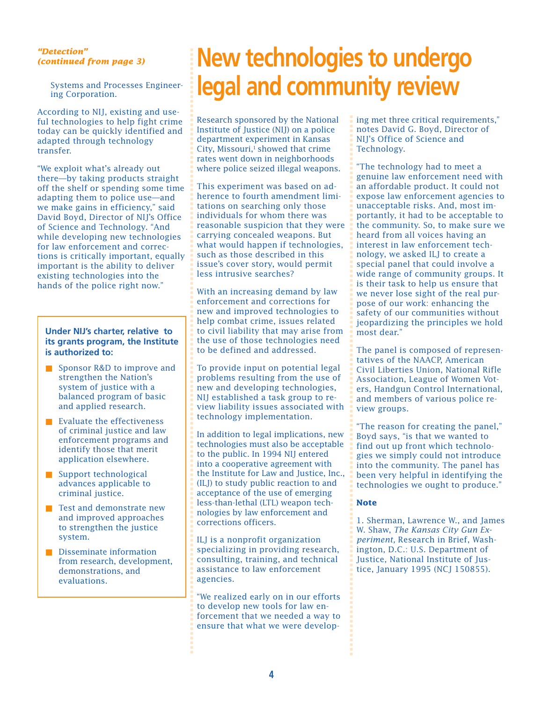### *"Detection" (continued from page 3)*

Systems and Processes Engineering Corporation.

According to NIJ, existing and useful technologies to help fight crime today can be quickly identified and adapted through technology transfer.

"We exploit what's already out there—by taking products straight off the shelf or spending some time adapting them to police use—and we make gains in efficiency," said David Boyd, Director of NIJ's Office of Science and Technology. "And while developing new technologies for law enforcement and corrections is critically important, equally important is the ability to deliver existing technologies into the hands of the police right now."

#### **Under NIJ's charter, relative to its grants program, the Institute is authorized to:**

- Sponsor R&D to improve and strengthen the Nation's system of justice with a balanced program of basic and applied research.
- Evaluate the effectiveness of criminal justice and law enforcement programs and identify those that merit application elsewhere.
- Support technological advances applicable to criminal justice.
- Test and demonstrate new and improved approaches to strengthen the justice system.
- Disseminate information from research, development, demonstrations, and evaluations.

## **New technologies to undergo legal and community review**

Research sponsored by the National Institute of Justice (NIJ) on a police department experiment in Kansas City, Missouri, $<sup>1</sup>$  showed that crime</sup> rates went down in neighborhoods where police seized illegal weapons.

This experiment was based on adherence to fourth amendment limitations on searching only those individuals for whom there was reasonable suspicion that they were carrying concealed weapons. But what would happen if technologies, such as those described in this issue's cover story, would permit less intrusive searches?

With an increasing demand by law enforcement and corrections for new and improved technologies to help combat crime, issues related to civil liability that may arise from the use of those technologies need to be defined and addressed.

To provide input on potential legal problems resulting from the use of new and developing technologies, NIJ established a task group to review liability issues associated with technology implementation.

In addition to legal implications, new technologies must also be acceptable to the public. In 1994 NIJ entered into a cooperative agreement with the Institute for Law and Justice, Inc., (ILJ) to study public reaction to and acceptance of the use of emerging less-than-lethal (LTL) weapon technologies by law enforcement and corrections officers.

ILJ is a nonprofit organization specializing in providing research, consulting, training, and technical assistance to law enforcement agencies.

"We realized early on in our efforts to develop new tools for law enforcement that we needed a way to ensure that what we were developing met three critical requirements," notes David G. Boyd, Director of NIJ's Office of Science and Technology.

"The technology had to meet a genuine law enforcement need with an affordable product. It could not expose law enforcement agencies to unacceptable risks. And, most importantly, it had to be acceptable to the community. So, to make sure we heard from all voices having an interest in law enforcement technology, we asked ILJ to create a special panel that could involve a wide range of community groups. It is their task to help us ensure that we never lose sight of the real purpose of our work: enhancing the safety of our communities without jeopardizing the principles we hold most dear."

The panel is composed of representatives of the NAACP, American Civil Liberties Union, National Rifle Association, League of Women Voters, Handgun Control International, and members of various police review groups.

"The reason for creating the panel," Boyd says, "is that we wanted to find out up front which technologies we simply could not introduce into the community. The panel has been very helpful in identifying the technologies we ought to produce."

#### **Note**

1. Sherman, Lawrence W., and James W. Shaw, *The Kansas City Gun Experiment,* Research in Brief, Washington, D.C.: U.S. Department of Justice, National Institute of Justice, January 1995 (NCJ 150855).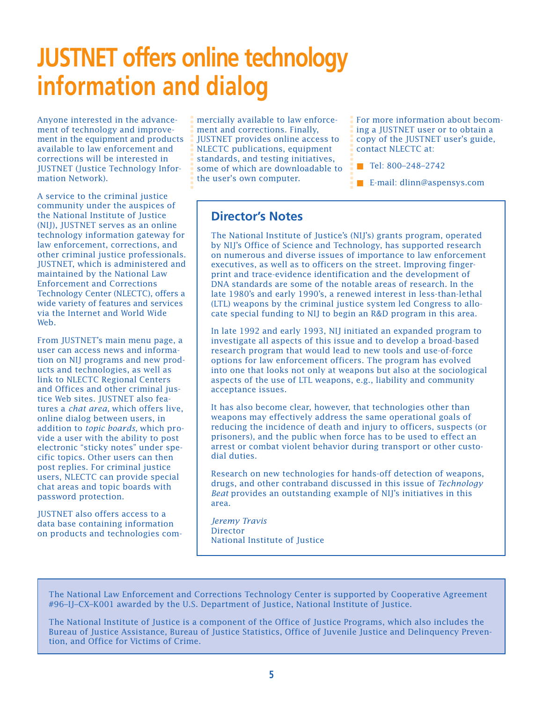## **JUSTNET offers online technology information and dialog**

Anyone interested in the advancement of technology and improvement in the equipment and products available to law enforcement and corrections will be interested in JUSTNET (Justice Technology Information Network).

A service to the criminal justice community under the auspices of the National Institute of Justice (NIJ), JUSTNET serves as an online technology information gateway for law enforcement, corrections, and other criminal justice professionals. JUSTNET, which is administered and maintained by the National Law Enforcement and Corrections Technology Center (NLECTC), offers a wide variety of features and services via the Internet and World Wide Web.

yone interested in the advance are a mechally available to law enforce<br>
int of technology and improve-<br>
interactions a fill SNET provides online access to<br>
ration and provides online access to<br>
rations and be interested in From JUSTNET's main menu page, a user can access news and information on NIJ programs and new products and technologies, as well as link to NLECTC Regional Centers and Offices and other criminal justice Web sites. JUSTNET also features a *chat area,* which offers live, online dialog between users, in addition to *topic boards,* which provide a user with the ability to post electronic "sticky notes" under specific topics. Other users can then post replies. For criminal justice users, NLECTC can provide special chat areas and topic boards with password protection.

JUSTNET also offers access to a data base containing information on products and technologies commercially available to law enforcement and corrections. Finally, JUSTNET provides online access to NLECTC publications, equipment standards, and testing initiatives, some of which are downloadable to the user's own computer.

For more information about becoming a JUSTNET user or to obtain a copy of the JUSTNET user's guide, contact NLECTC at:

■ Tel: 800–248–2742

■ E-mail: dlinn@aspensys.com

## **Director's Notes**

The National Institute of Justice's (NIJ's) grants program, operated by NIJ's Office of Science and Technology, has supported research on numerous and diverse issues of importance to law enforcement executives, as well as to officers on the street. Improving fingerprint and trace-evidence identification and the development of DNA standards are some of the notable areas of research. In the late 1980's and early 1990's, a renewed interest in less-than-lethal (LTL) weapons by the criminal justice system led Congress to allocate special funding to NIJ to begin an R&D program in this area.

In late 1992 and early 1993, NIJ initiated an expanded program to investigate all aspects of this issue and to develop a broad-based research program that would lead to new tools and use-of-force options for law enforcement officers. The program has evolved into one that looks not only at weapons but also at the sociological aspects of the use of LTL weapons, e.g., liability and community acceptance issues.

It has also become clear, however, that technologies other than weapons may effectively address the same operational goals of reducing the incidence of death and injury to officers, suspects (or prisoners), and the public when force has to be used to effect an arrest or combat violent behavior during transport or other custodial duties.

Research on new technologies for hands-off detection of weapons, drugs, and other contraband discussed in this issue of *Technology Beat* provides an outstanding example of NIJ's initiatives in this area.

*Jeremy Travis* Director National Institute of Justice

The National Law Enforcement and Corrections Technology Center is supported by Cooperative Agreement #96–IJ–CX–K001 awarded by the U.S. Department of Justice, National Institute of Justice.

The National Institute of Justice is a component of the Office of Justice Programs, which also includes the Bureau of Justice Assistance, Bureau of Justice Statistics, Office of Juvenile Justice and Delinquency Preven-